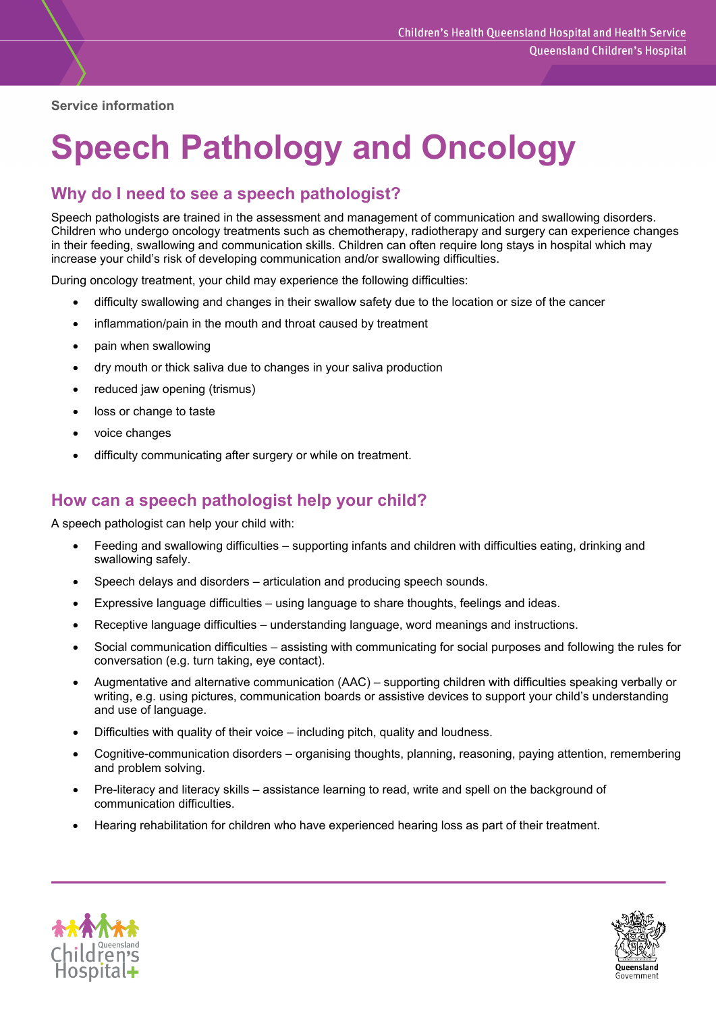**Service information** 

# **Speech Pathology and Oncology**

# **Why do I need to see a speech pathologist?**

Speech pathologists are trained in the assessment and management of communication and swallowing disorders. Children who undergo oncology treatments such as chemotherapy, radiotherapy and surgery can experience changes in their feeding, swallowing and communication skills. Children can often require long stays in hospital which may increase your child's risk of developing communication and/or swallowing difficulties.

During oncology treatment, your child may experience the following difficulties:

- difficulty swallowing and changes in their swallow safety due to the location or size of the cancer
- inflammation/pain in the mouth and throat caused by treatment
- pain when swallowing
- dry mouth or thick saliva due to changes in your saliva production
- reduced jaw opening (trismus)
- loss or change to taste
- voice changes
- difficulty communicating after surgery or while on treatment.

### **How can a speech pathologist help your child?**

A speech pathologist can help your child with:

- Feeding and swallowing difficulties supporting infants and children with difficulties eating, drinking and swallowing safely.
- Speech delays and disorders articulation and producing speech sounds.
- Expressive language difficulties using language to share thoughts, feelings and ideas.
- Receptive language difficulties understanding language, word meanings and instructions.
- Social communication difficulties assisting with communicating for social purposes and following the rules for conversation (e.g. turn taking, eye contact).
- Augmentative and alternative communication (AAC) supporting children with difficulties speaking verbally or writing, e.g. using pictures, communication boards or assistive devices to support your child's understanding and use of language.
- Difficulties with quality of their voice including pitch, quality and loudness.
- Cognitive-communication disorders organising thoughts, planning, reasoning, paying attention, remembering and problem solving.
- Pre-literacy and literacy skills assistance learning to read, write and spell on the background of communication difficulties.
- Hearing rehabilitation for children who have experienced hearing loss as part of their treatment.